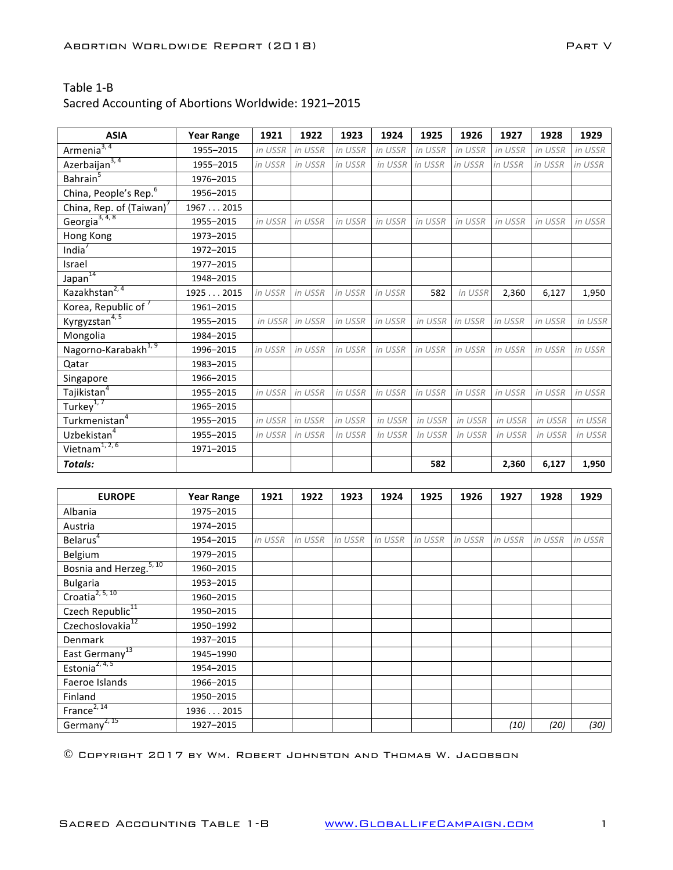### Sacred Accounting of Abortions Worldwide: 1921-2015

| <b>ASIA</b>                             | <b>Year Range</b> | 1921    | 1922    | 1923    | 1924    | 1925    | 1926    | 1927    | 1928    | 1929    |
|-----------------------------------------|-------------------|---------|---------|---------|---------|---------|---------|---------|---------|---------|
| Armenia <sup>3, 4</sup>                 | 1955-2015         | in USSR | in USSR | in USSR | in USSR | in USSR | in USSR | in USSR | in USSR | in USSR |
| Azerbaijan <sup>3, 4</sup>              | 1955-2015         | in USSR | in USSR | in USSR | in USSR | in USSR | in USSR | in USSR | in USSR | in USSR |
| Bahrain <sup>5</sup>                    | 1976-2015         |         |         |         |         |         |         |         |         |         |
| China, People's Rep. <sup>6</sup>       | 1956-2015         |         |         |         |         |         |         |         |         |         |
| China, Rep. of (Taiwan)                 | 19672015          |         |         |         |         |         |         |         |         |         |
| Georgia <sup>3, 4, 8</sup>              | 1955-2015         | in USSR | in USSR | in USSR | in USSR | in USSR | in USSR | in USSR | in USSR | in USSR |
| Hong Kong                               | 1973-2015         |         |         |         |         |         |         |         |         |         |
| India <sup>®</sup>                      | 1972-2015         |         |         |         |         |         |         |         |         |         |
| Israel                                  | 1977-2015         |         |         |         |         |         |         |         |         |         |
| 14<br>Japan <sup>1</sup>                | 1948-2015         |         |         |         |         |         |         |         |         |         |
| Kazakhstan <sup>2, 4</sup>              | 19252015          | in USSR | in USSR | in USSR | in USSR | 582     | in USSR | 2,360   | 6,127   | 1,950   |
| Korea, Republic of <sup>7</sup>         | 1961-2015         |         |         |         |         |         |         |         |         |         |
| Kyrgyzstan <sup>4, 5</sup>              | 1955-2015         | in USSR | in USSR | in USSR | in USSR | in USSR | in USSR | in USSR | in USSR | in USSR |
| Mongolia                                | 1984-2015         |         |         |         |         |         |         |         |         |         |
| Nagorno-Karabakh <sup>1, 9</sup>        | 1996-2015         | in USSR | in USSR | in USSR | in USSR | in USSR | in USSR | in USSR | in USSR | in USSR |
| Qatar                                   | 1983-2015         |         |         |         |         |         |         |         |         |         |
| Singapore                               | 1966-2015         |         |         |         |         |         |         |         |         |         |
| Tajikistan <sup>4</sup>                 | 1955-2015         | in USSR | in USSR | in USSR | in USSR | in USSR | in USSR | in USSR | in USSR | in USSR |
| Turkey <sup>1,7</sup>                   | 1965-2015         |         |         |         |         |         |         |         |         |         |
| Turkmenistan <sup>4</sup>               | 1955-2015         | in USSR | in USSR | in USSR | in USSR | in USSR | in USSR | in USSR | in USSR | in USSR |
| Uzbekistan <sup>4</sup>                 | 1955-2015         | in USSR | in USSR | in USSR | in USSR | in USSR | in USSR | in USSR | in USSR | in USSR |
| Vietnam <sup><math>1, 2, 6</math></sup> | 1971-2015         |         |         |         |         |         |         |         |         |         |
| <b>Totals:</b>                          |                   |         |         |         |         | 582     |         | 2,360   | 6,127   | 1,950   |

| <b>EUROPE</b>                       | <b>Year Range</b> | 1921    | 1922    | 1923    | 1924    | 1925    | 1926    | 1927    | 1928    | 1929    |
|-------------------------------------|-------------------|---------|---------|---------|---------|---------|---------|---------|---------|---------|
| Albania                             | 1975-2015         |         |         |         |         |         |         |         |         |         |
| Austria                             | 1974-2015         |         |         |         |         |         |         |         |         |         |
| Belarus <sup>4</sup>                | 1954-2015         | in USSR | in USSR | in USSR | in USSR | in USSR | in USSR | in USSR | in USSR | in USSR |
| Belgium                             | 1979-2015         |         |         |         |         |         |         |         |         |         |
| Bosnia and Herzeg. <sup>5, 10</sup> | 1960-2015         |         |         |         |         |         |         |         |         |         |
| <b>Bulgaria</b>                     | 1953-2015         |         |         |         |         |         |         |         |         |         |
| Croatia <sup>2, 5, 10</sup>         | 1960-2015         |         |         |         |         |         |         |         |         |         |
| Czech Republic <sup>11</sup>        | 1950-2015         |         |         |         |         |         |         |         |         |         |
| Czechoslovakia <sup>12</sup>        | 1950-1992         |         |         |         |         |         |         |         |         |         |
| <b>Denmark</b>                      | 1937-2015         |         |         |         |         |         |         |         |         |         |
| East Germany <sup>13</sup>          | 1945-1990         |         |         |         |         |         |         |         |         |         |
| Estonia <sup>2, 4, 5</sup>          | 1954-2015         |         |         |         |         |         |         |         |         |         |
| Faeroe Islands                      | 1966-2015         |         |         |         |         |         |         |         |         |         |
| Finland                             | 1950-2015         |         |         |         |         |         |         |         |         |         |
| France <sup>2, 14</sup>             | 19362015          |         |         |         |         |         |         |         |         |         |
| Germany <sup>2, 15</sup>            | 1927-2015         |         |         |         |         |         |         | (10)    | (20)    | (30)    |

© Copyright 2017 by Wm. Robert Johnston and Thomas W. Jacobson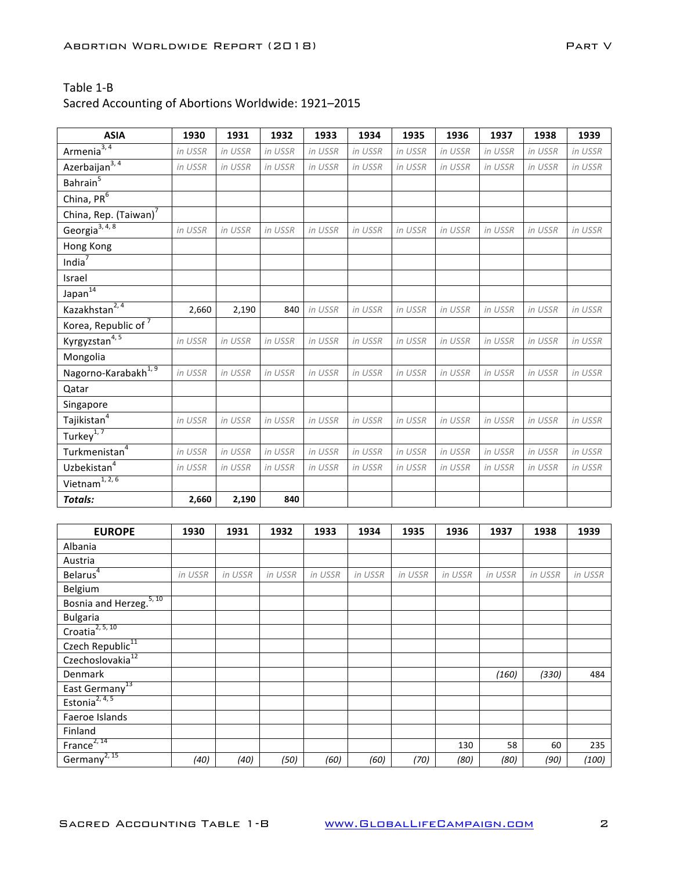| <b>ASIA</b>                             | 1930    | 1931    | 1932    | 1933    | 1934    | 1935    | 1936    | 1937    | 1938    | 1939    |
|-----------------------------------------|---------|---------|---------|---------|---------|---------|---------|---------|---------|---------|
| Armenia $3, 4$                          | in USSR | in USSR | in USSR | in USSR | in USSR | in USSR | in USSR | in USSR | in USSR | in USSR |
| Azerbaijan <sup>3, 4</sup>              | in USSR | in USSR | in USSR | in USSR | in USSR | in USSR | in USSR | in USSR | in USSR | in USSR |
| Bahrain <sup>5</sup>                    |         |         |         |         |         |         |         |         |         |         |
| China, $PR^6$                           |         |         |         |         |         |         |         |         |         |         |
| China, Rep. (Taiwan) <sup>7</sup>       |         |         |         |         |         |         |         |         |         |         |
| Georgia <sup>3, 4, 8</sup>              | in USSR | in USSR | in USSR | in USSR | in USSR | in USSR | in USSR | in USSR | in USSR | in USSR |
| Hong Kong                               |         |         |         |         |         |         |         |         |         |         |
| India $7$                               |         |         |         |         |         |         |         |         |         |         |
| Israel                                  |         |         |         |         |         |         |         |         |         |         |
| Japan <sup>14</sup>                     |         |         |         |         |         |         |         |         |         |         |
| Kazakhstan <sup>2, 4</sup>              | 2,660   | 2,190   | 840     | in USSR | in USSR | in USSR | in USSR | in USSR | in USSR | in USSR |
| Korea, Republic of <sup>7</sup>         |         |         |         |         |         |         |         |         |         |         |
| Kyrgyzstan <sup>4,5</sup>               | in USSR | in USSR | in USSR | in USSR | in USSR | in USSR | in USSR | in USSR | in USSR | in USSR |
| Mongolia                                |         |         |         |         |         |         |         |         |         |         |
| Nagorno-Karabakh <sup>1, 9</sup>        | in USSR | in USSR | in USSR | in USSR | in USSR | in USSR | in USSR | in USSR | in USSR | in USSR |
| Qatar                                   |         |         |         |         |         |         |         |         |         |         |
| Singapore                               |         |         |         |         |         |         |         |         |         |         |
| Tajikistan $^4$                         | in USSR | in USSR | in USSR | in USSR | in USSR | in USSR | in USSR | in USSR | in USSR | in USSR |
| Turkey <sup>1,7</sup>                   |         |         |         |         |         |         |         |         |         |         |
| Turkmenistan <sup>4</sup>               | in USSR | in USSR | in USSR | in USSR | in USSR | in USSR | in USSR | in USSR | in USSR | in USSR |
| Uzbekistan <sup>4</sup>                 | in USSR | in USSR | in USSR | in USSR | in USSR | in USSR | in USSR | in USSR | in USSR | in USSR |
| Vietnam <sup><math>1, 2, 6</math></sup> |         |         |         |         |         |         |         |         |         |         |
| <b>Totals:</b>                          | 2,660   | 2,190   | 840     |         |         |         |         |         |         |         |

| <b>EUROPE</b>                       | 1930    | 1931    | 1932    | 1933    | 1934    | 1935    | 1936    | 1937    | 1938    | 1939    |
|-------------------------------------|---------|---------|---------|---------|---------|---------|---------|---------|---------|---------|
| Albania                             |         |         |         |         |         |         |         |         |         |         |
| Austria                             |         |         |         |         |         |         |         |         |         |         |
| Belarus $\sqrt[4]{\ }$              | in USSR | in USSR | in USSR | in USSR | in USSR | in USSR | in USSR | in USSR | in USSR | in USSR |
| Belgium                             |         |         |         |         |         |         |         |         |         |         |
| Bosnia and Herzeg. <sup>5, 10</sup> |         |         |         |         |         |         |         |         |         |         |
| <b>Bulgaria</b>                     |         |         |         |         |         |         |         |         |         |         |
| Croatia <sup>2, 5, 10</sup>         |         |         |         |         |         |         |         |         |         |         |
| Czech Republic <sup>11</sup>        |         |         |         |         |         |         |         |         |         |         |
| Czechoslovakia <sup>12</sup>        |         |         |         |         |         |         |         |         |         |         |
| Denmark                             |         |         |         |         |         |         |         | (160)   | (330)   | 484     |
| East Germany <sup>13</sup>          |         |         |         |         |         |         |         |         |         |         |
| Estonia <sup>2, 4, 5</sup>          |         |         |         |         |         |         |         |         |         |         |
| Faeroe Islands                      |         |         |         |         |         |         |         |         |         |         |
| Finland                             |         |         |         |         |         |         |         |         |         |         |
| France <sup>2, 14</sup>             |         |         |         |         |         |         | 130     | 58      | 60      | 235     |
| Germany <sup>2, 15</sup>            | (40)    | (40)    | (50)    | (60)    | (60)    | (70)    | (80)    | (80)    | (90)    | (100)   |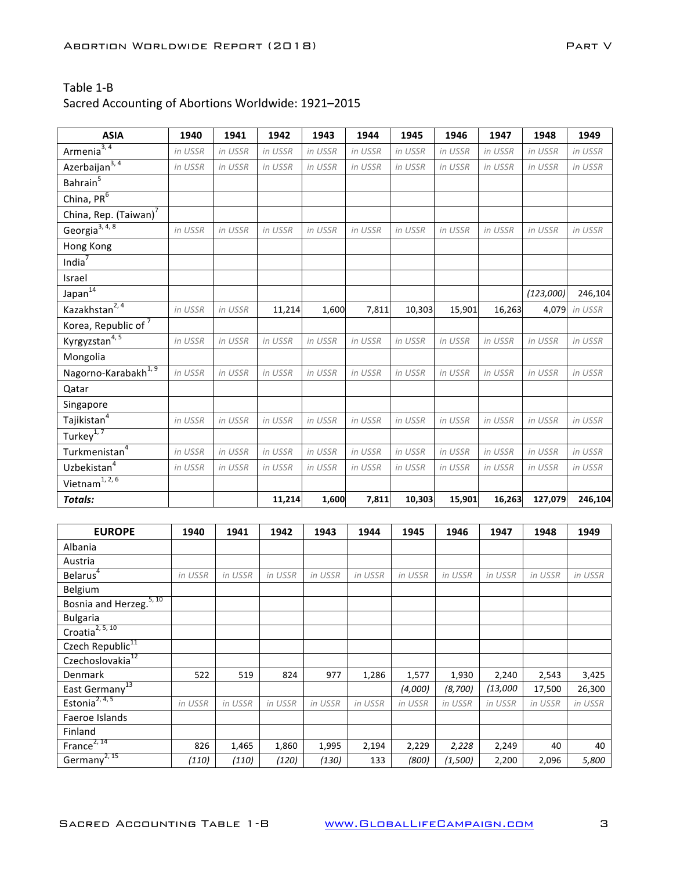| <b>ASIA</b>                       | 1940    | 1941    | 1942    | 1943    | 1944    | 1945    | 1946    | 1947    | 1948      | 1949          |
|-----------------------------------|---------|---------|---------|---------|---------|---------|---------|---------|-----------|---------------|
| Armenia $3, 4$                    | in USSR | in USSR | in USSR | in USSR | in USSR | in USSR | in USSR | in USSR | in USSR   | in USSR       |
| Azerbaijan $3, 4$                 | in USSR | in USSR | in USSR | in USSR | in USSR | in USSR | in USSR | in USSR | in USSR   | in USSR       |
| Bahrain <sup>5</sup>              |         |         |         |         |         |         |         |         |           |               |
| China, $PR^6$                     |         |         |         |         |         |         |         |         |           |               |
| China, Rep. (Taiwan) <sup>7</sup> |         |         |         |         |         |         |         |         |           |               |
| Georgia <sup>3, 4, 8</sup>        | in USSR | in USSR | in USSR | in USSR | in USSR | in USSR | in USSR | in USSR | in USSR   | in USSR       |
| Hong Kong                         |         |         |         |         |         |         |         |         |           |               |
| India $7$                         |         |         |         |         |         |         |         |         |           |               |
| Israel                            |         |         |         |         |         |         |         |         |           |               |
| Japan <sup>14</sup>               |         |         |         |         |         |         |         |         | (123,000) | 246,104       |
| Kazakhstan <sup>2, 4</sup>        | in USSR | in USSR | 11,214  | 1,600   | 7,811   | 10,303  | 15,901  | 16,263  |           | 4,079 in USSR |
| Korea, Republic of $\overline{7}$ |         |         |         |         |         |         |         |         |           |               |
| Kyrgyzstan <sup>4,5</sup>         | in USSR | in USSR | in USSR | in USSR | in USSR | in USSR | in USSR | in USSR | in USSR   | in USSR       |
| Mongolia                          |         |         |         |         |         |         |         |         |           |               |
| Nagorno-Karabakh <sup>1, 9</sup>  | in USSR | in USSR | in USSR | in USSR | in USSR | in USSR | in USSR | in USSR | in USSR   | in USSR       |
| Qatar                             |         |         |         |         |         |         |         |         |           |               |
| Singapore                         |         |         |         |         |         |         |         |         |           |               |
| Tajikistan <sup>4</sup>           | in USSR | in USSR | in USSR | in USSR | in USSR | in USSR | in USSR | in USSR | in USSR   | in USSR       |
| Turkey $\overline{1,7}$           |         |         |         |         |         |         |         |         |           |               |
| Turkmenistan <sup>4</sup>         | in USSR | in USSR | in USSR | in USSR | in USSR | in USSR | in USSR | in USSR | in USSR   | in USSR       |
| Uzbekistan <sup>4</sup>           | in USSR | in USSR | in USSR | in USSR | in USSR | in USSR | in USSR | in USSR | in USSR   | in USSR       |
| Vietnam <sup>1, 2, 6</sup>        |         |         |         |         |         |         |         |         |           |               |
| <b>Totals:</b>                    |         |         | 11,214  | 1,600   | 7,811   | 10,303  | 15,901  | 16,263  | 127,079   | 246,104       |
|                                   |         |         |         |         |         |         |         |         |           |               |

| <b>EUROPE</b>                | 1940    | 1941    | 1942    | 1943    | 1944    | 1945    | 1946    | 1947     | 1948    | 1949    |
|------------------------------|---------|---------|---------|---------|---------|---------|---------|----------|---------|---------|
| Albania                      |         |         |         |         |         |         |         |          |         |         |
| Austria                      |         |         |         |         |         |         |         |          |         |         |
| Belarus <sup>4</sup>         | in USSR | in USSR | in USSR | in USSR | in USSR | in USSR | in USSR | in USSR  | in USSR | in USSR |
| Belgium                      |         |         |         |         |         |         |         |          |         |         |
| 5, 10<br>Bosnia and Herzeg.  |         |         |         |         |         |         |         |          |         |         |
| <b>Bulgaria</b>              |         |         |         |         |         |         |         |          |         |         |
| Croatia <sup>2, 5, 10</sup>  |         |         |         |         |         |         |         |          |         |         |
| Czech Republic <sup>11</sup> |         |         |         |         |         |         |         |          |         |         |
| Czechoslovakia <sup>12</sup> |         |         |         |         |         |         |         |          |         |         |
| Denmark                      | 522     | 519     | 824     | 977     | 1,286   | 1,577   | 1,930   | 2,240    | 2,543   | 3,425   |
| East Germany <sup>13</sup>   |         |         |         |         |         | (4,000) | (8,700) | (13,000) | 17,500  | 26,300  |
| Estonia <sup>2, 4, 5</sup>   | in USSR | in USSR | in USSR | in USSR | in USSR | in USSR | in USSR | in USSR  | in USSR | in USSR |
| Faeroe Islands               |         |         |         |         |         |         |         |          |         |         |
| Finland                      |         |         |         |         |         |         |         |          |         |         |
| France $2, 14$               | 826     | 1,465   | 1,860   | 1,995   | 2,194   | 2,229   | 2,228   | 2,249    | 40      | 40      |
| Germany <sup>2, 15</sup>     | (110)   | (110)   | (120)   | (130)   | 133     | (800)   | (1,500) | 2,200    | 2,096   | 5,800   |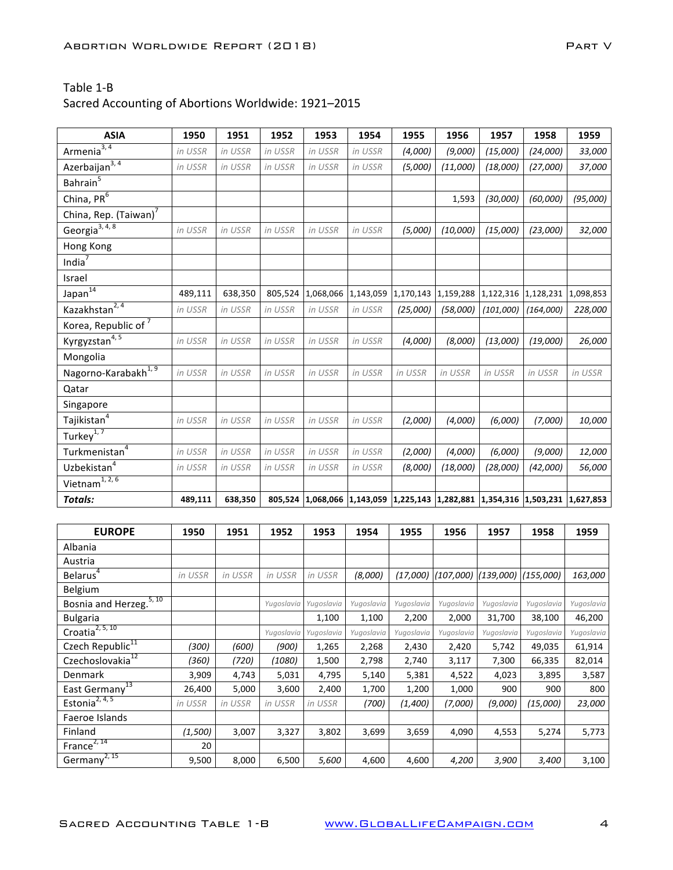| <b>ASIA</b>                       | 1950    | 1951    | 1952    | 1953      | 1954      | 1955                                              | 1956      | 1957      | 1958      | 1959      |
|-----------------------------------|---------|---------|---------|-----------|-----------|---------------------------------------------------|-----------|-----------|-----------|-----------|
| Armenia <sup>3, 4</sup>           | in USSR | in USSR | in USSR | in USSR   | in USSR   | (4,000)                                           | (9,000)   | (15,000)  | (24,000)  | 33,000    |
| Azerbaijan <sup>3, 4</sup>        | in USSR | in USSR | in USSR | in USSR   | in USSR   | (5,000)                                           | (11,000)  | (18,000)  | (27,000)  | 37,000    |
| Bahrain <sup>5</sup>              |         |         |         |           |           |                                                   |           |           |           |           |
| China, $PR^6$                     |         |         |         |           |           |                                                   | 1,593     | (30,000)  | (60,000)  | (95,000)  |
| China, Rep. (Taiwan) <sup>7</sup> |         |         |         |           |           |                                                   |           |           |           |           |
| Georgia <sup>3, 4, 8</sup>        | in USSR | in USSR | in USSR | in USSR   | in USSR   | (5,000)                                           | (10,000)  | (15,000)  | (23,000)  | 32,000    |
| Hong Kong                         |         |         |         |           |           |                                                   |           |           |           |           |
| India $7$                         |         |         |         |           |           |                                                   |           |           |           |           |
| Israel                            |         |         |         |           |           |                                                   |           |           |           |           |
| Japan <sup>14</sup>               | 489,111 | 638,350 | 805,524 | 1,068,066 | 1,143,059 | 1,170,143                                         | 1,159,288 | 1,122,316 | 1,128,231 | 1,098,853 |
| Kazakhstan <sup>2, 4</sup>        | in USSR | in USSR | in USSR | in USSR   | in USSR   | (25,000)                                          | (58,000)  | (101,000) | (164,000) | 228,000   |
| Korea, Republic of <sup>7</sup>   |         |         |         |           |           |                                                   |           |           |           |           |
| Kyrgyzstan <sup>4,5</sup>         | in USSR | in USSR | in USSR | in USSR   | in USSR   | (4,000)                                           | (8,000)   | (13,000)  | (19,000)  | 26,000    |
| Mongolia                          |         |         |         |           |           |                                                   |           |           |           |           |
| Nagorno-Karabakh <sup>1,9</sup>   | in USSR | in USSR | in USSR | in USSR   | in USSR   | in USSR                                           | in USSR   | in USSR   | in USSR   | in USSR   |
| Qatar                             |         |         |         |           |           |                                                   |           |           |           |           |
| Singapore                         |         |         |         |           |           |                                                   |           |           |           |           |
| Tajikistan $4$                    | in USSR | in USSR | in USSR | in USSR   | in USSR   | (2,000)                                           | (4,000)   | (6,000)   | (7,000)   | 10,000    |
| Turkey $\sqrt{1, 7}$              |         |         |         |           |           |                                                   |           |           |           |           |
| Turkmenistan <sup>4</sup>         | in USSR | in USSR | in USSR | in USSR   | in USSR   | (2,000)                                           | (4,000)   | (6,000)   | (9,000)   | 12,000    |
| Uzbekistan <sup>4</sup>           | in USSR | in USSR | in USSR | in USSR   | in USSR   | (8,000)                                           | (18,000)  | (28,000)  | (42,000)  | 56,000    |
| Vietnam <sup>1, 2, 6</sup>        |         |         |         |           |           |                                                   |           |           |           |           |
| Totals:                           | 489,111 | 638,350 | 805,524 | 1,068,066 |           | 1,143,059 1,225,143 1,282,881 1,354,316 1,503,231 |           |           |           | 1,627,853 |

| <b>EUROPE</b>                | 1950    | 1951    | 1952       | 1953       | 1954       | 1955       | 1956       | 1957       | 1958       | 1959       |
|------------------------------|---------|---------|------------|------------|------------|------------|------------|------------|------------|------------|
| Albania                      |         |         |            |            |            |            |            |            |            |            |
| Austria                      |         |         |            |            |            |            |            |            |            |            |
| Belarus <sup>4</sup>         | in USSR | in USSR | in USSR    | in USSR    | (8,000)    | (17,000)   | (107,000)  | (139,000)  | (155,000)  | 163,000    |
| Belgium                      |         |         |            |            |            |            |            |            |            |            |
| 5, 10<br>Bosnia and Herzeg.  |         |         | Yugoslavia | Yugoslavia | Yugoslavia | Yugoslavia | Yugoslavia | Yugoslavia | Yugoslavia | Yugoslavia |
| <b>Bulgaria</b>              |         |         |            | 1,100      | 1,100      | 2,200      | 2,000      | 31,700     | 38,100     | 46,200     |
| Croatia $2, 5, 10$           |         |         | Yugoslavia | Yugoslavia | Yugoslavia | Yugoslavia | Yugoslavia | Yugoslavia | Yugoslavia | Yugoslavia |
| Czech Republic <sup>11</sup> | (300)   | (600)   | (900)      | 1,265      | 2,268      | 2,430      | 2,420      | 5,742      | 49,035     | 61,914     |
| Czechoslovakia <sup>12</sup> | (360)   | (720)   | (1080)     | 1,500      | 2,798      | 2,740      | 3,117      | 7,300      | 66,335     | 82,014     |
| Denmark                      | 3,909   | 4,743   | 5,031      | 4,795      | 5,140      | 5,381      | 4,522      | 4,023      | 3,895      | 3,587      |
| East Germany <sup>13</sup>   | 26,400  | 5,000   | 3,600      | 2,400      | 1,700      | 1,200      | 1,000      | 900        | 900        | 800        |
| Estonia <sup>2, 4, 5</sup>   | in USSR | in USSR | in USSR    | in USSR    | (700)      | (1,400)    | (7,000)    | (9,000)    | (15,000)   | 23,000     |
| Faeroe Islands               |         |         |            |            |            |            |            |            |            |            |
| Finland                      | (1,500) | 3,007   | 3,327      | 3,802      | 3,699      | 3,659      | 4,090      | 4,553      | 5,274      | 5,773      |
| France $^{2, 14}$            | 20      |         |            |            |            |            |            |            |            |            |
| Germany <sup>2, 15</sup>     | 9,500   | 8,000   | 6,500      | 5,600      | 4,600      | 4,600      | 4,200      | 3,900      | 3,400      | 3,100      |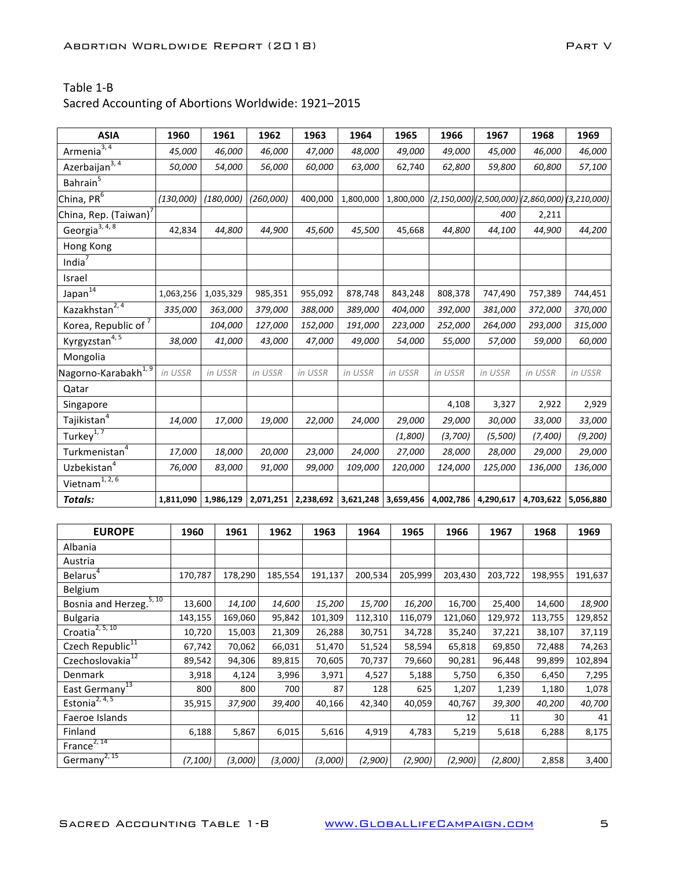| <b>ASIA</b>                             | 1960      | 1961      | 1962      | 1963      | 1964      | 1965      | 1966                                                   | 1967      | 1968      | 1969      |
|-----------------------------------------|-----------|-----------|-----------|-----------|-----------|-----------|--------------------------------------------------------|-----------|-----------|-----------|
| Armenia <sup>3,4</sup>                  | 45,000    | 46,000    | 46,000    | 47,000    | 48,000    | 49,000    | 49,000                                                 | 45,000    | 46,000    | 46,000    |
| Azerbaijan $3, 4$                       | 50,000    | 54,000    | 56,000    | 60,000    | 63,000    | 62,740    | 62,800                                                 | 59,800    | 60,800    | 57,100    |
| Bahrain <sup>5</sup>                    |           |           |           |           |           |           |                                                        |           |           |           |
| China, PR <sup>6</sup>                  | (130,000) | (180,000) | (260,000) | 400,000   | 1,800,000 |           | 1,800,000 (2,150,000)(2,500,000)(2,860,000)(3,210,000) |           |           |           |
| China, Rep. (Taiwan)                    |           |           |           |           |           |           |                                                        | 400       | 2,211     |           |
| Georgia <sup>3, 4, 8</sup>              | 42,834    | 44,800    | 44,900    | 45,600    | 45,500    | 45,668    | 44,800                                                 | 44,100    | 44,900    | 44,200    |
| Hong Kong                               |           |           |           |           |           |           |                                                        |           |           |           |
| India $7$                               |           |           |           |           |           |           |                                                        |           |           |           |
| Israel                                  |           |           |           |           |           |           |                                                        |           |           |           |
| Japan <sup>14</sup>                     | 1,063,256 | 1,035,329 | 985,351   | 955,092   | 878,748   | 843,248   | 808,378                                                | 747,490   | 757,389   | 744,451   |
| Kazakhstan <sup>2, 4</sup>              | 335,000   | 363,000   | 379,000   | 388,000   | 389,000   | 404,000   | 392,000                                                | 381,000   | 372,000   | 370,000   |
| Korea, Republic of 7                    |           | 104,000   | 127,000   | 152,000   | 191,000   | 223,000   | 252,000                                                | 264,000   | 293,000   | 315,000   |
| Kyrgyzstan <sup>4, 5</sup>              | 38,000    | 41,000    | 43,000    | 47,000    | 49,000    | 54,000    | 55,000                                                 | 57,000    | 59,000    | 60,000    |
| Mongolia                                |           |           |           |           |           |           |                                                        |           |           |           |
| Nagorno-Karabakh <sup>1,9</sup>         | in USSR   | in USSR   | in USSR   | in USSR   | in USSR   | in USSR   | in USSR                                                | in USSR   | in USSR   | in USSR   |
| Qatar                                   |           |           |           |           |           |           |                                                        |           |           |           |
| Singapore                               |           |           |           |           |           |           | 4,108                                                  | 3,327     | 2,922     | 2,929     |
| Tajikistan <sup>4</sup>                 | 14,000    | 17,000    | 19,000    | 22,000    | 24,000    | 29,000    | 29,000                                                 | 30,000    | 33,000    | 33,000    |
| Turkey <sup>1,7</sup>                   |           |           |           |           |           | (1,800)   | (3,700)                                                | (5,500)   | (7,400)   | (9,200)   |
| Turkmenistan <sup>4</sup>               | 17,000    | 18,000    | 20,000    | 23,000    | 24,000    | 27,000    | 28,000                                                 | 28,000    | 29,000    | 29,000    |
| Uzbekistan <sup>4</sup>                 | 76,000    | 83,000    | 91,000    | 99,000    | 109,000   | 120,000   | 124,000                                                | 125,000   | 136,000   | 136,000   |
| Vietnam <sup><math>1, 2, 6</math></sup> |           |           |           |           |           |           |                                                        |           |           |           |
| <b>Totals:</b>                          | 1,811,090 | 1,986,129 | 2,071,251 | 2,238,692 | 3,621,248 | 3,659,456 | 4,002,786                                              | 4,290,617 | 4,703,622 | 5,056,880 |

| <b>EUROPE</b>                | 1960    | 1961    | 1962    | 1963    | 1964    | 1965    | 1966    | 1967    | 1968    | 1969    |
|------------------------------|---------|---------|---------|---------|---------|---------|---------|---------|---------|---------|
| Albania                      |         |         |         |         |         |         |         |         |         |         |
| Austria                      |         |         |         |         |         |         |         |         |         |         |
| Belarus <sup>4</sup>         | 170,787 | 178,290 | 185,554 | 191,137 | 200,534 | 205,999 | 203,430 | 203,722 | 198,955 | 191,637 |
| Belgium                      |         |         |         |         |         |         |         |         |         |         |
| 5, 10<br>Bosnia and Herzeg.  | 13,600  | 14,100  | 14,600  | 15,200  | 15,700  | 16,200  | 16,700  | 25,400  | 14,600  | 18,900  |
| <b>Bulgaria</b>              | 143,155 | 169,060 | 95,842  | 101,309 | 112,310 | 116,079 | 121,060 | 129,972 | 113,755 | 129,852 |
| Croatia <sup>2, 5, 10</sup>  | 10,720  | 15,003  | 21,309  | 26,288  | 30,751  | 34,728  | 35,240  | 37,221  | 38,107  | 37,119  |
| Czech Republic <sup>11</sup> | 67,742  | 70,062  | 66,031  | 51,470  | 51,524  | 58,594  | 65,818  | 69,850  | 72,488  | 74,263  |
| Czechoslovakia <sup>12</sup> | 89,542  | 94,306  | 89,815  | 70,605  | 70,737  | 79,660  | 90,281  | 96,448  | 99,899  | 102,894 |
| Denmark                      | 3,918   | 4,124   | 3,996   | 3,971   | 4,527   | 5,188   | 5,750   | 6,350   | 6,450   | 7,295   |
| East Germany                 | 800     | 800     | 700     | 87      | 128     | 625     | 1,207   | 1,239   | 1,180   | 1,078   |
| Estonia <sup>2, 4, 5</sup>   | 35,915  | 37,900  | 39,400  | 40,166  | 42,340  | 40,059  | 40,767  | 39,300  | 40,200  | 40,700  |
| Faeroe Islands               |         |         |         |         |         |         | 12      | 11      | 30      | 41      |
| Finland                      | 6,188   | 5,867   | 6,015   | 5,616   | 4,919   | 4,783   | 5,219   | 5,618   | 6,288   | 8,175   |
| France $^{2, 14}$            |         |         |         |         |         |         |         |         |         |         |
| Germany <sup>2, 15</sup>     | (7,100) | (3,000) | (3,000) | (3,000) | (2,900) | (2,900) | (2,900) | (2,800) | 2,858   | 3,400   |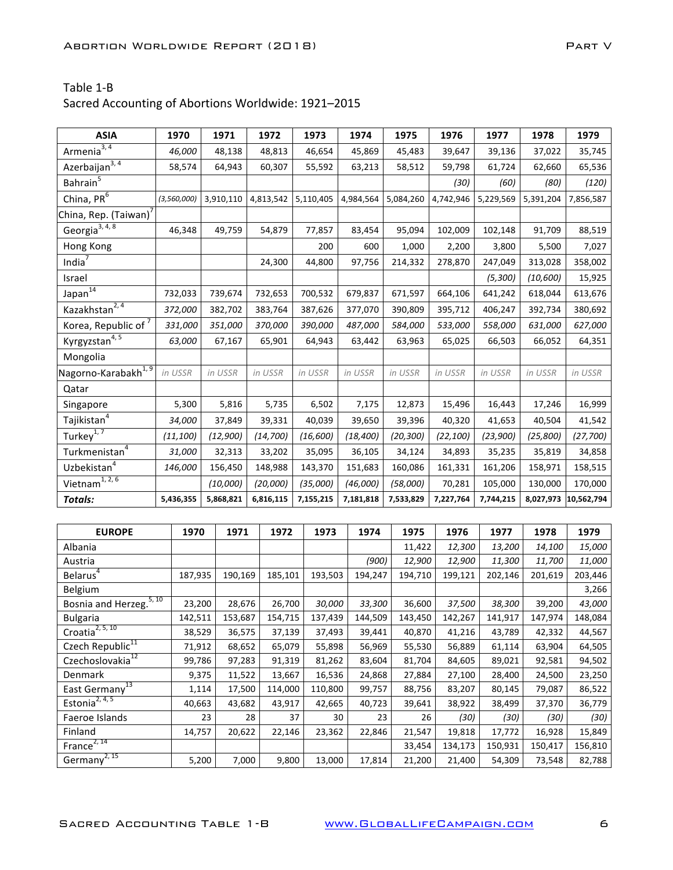| <b>ASIA</b>                               | 1970          | 1971            | 1972      |         | 1973      | 1974      | 1975      |         | 1976      | 1977      | 1978      | 1979       |
|-------------------------------------------|---------------|-----------------|-----------|---------|-----------|-----------|-----------|---------|-----------|-----------|-----------|------------|
| Armenia $3, 4$                            | 46,000        | 48,138          | 48,813    |         | 46,654    | 45,869    |           | 45,483  | 39,647    | 39,136    | 37,022    | 35,745     |
| Azerbaijan <sup>3, 4</sup>                | 58,574        | 64,943          | 60,307    |         | 55,592    | 63,213    |           | 58,512  | 59,798    | 61,724    | 62,660    | 65,536     |
| Bahrain <sup>5</sup>                      |               |                 |           |         |           |           |           |         | (30)      | (60)      | (80)      | (120)      |
| China, PR <sup>6</sup>                    | (3, 560, 000) | 3,910,110       | 4,813,542 |         | 5,110,405 | 4,984,564 | 5,084,260 |         | 4,742,946 | 5,229,569 | 5,391,204 | 7,856,587  |
| China, Rep. (Taiwan) <sup>7</sup>         |               |                 |           |         |           |           |           |         |           |           |           |            |
| Georgia <sup>3, 4, 8</sup>                | 46,348        | 49,759          | 54,879    |         | 77,857    | 83,454    | 95,094    |         | 102,009   | 102,148   | 91,709    | 88,519     |
| Hong Kong                                 |               |                 |           |         | 200       | 600       |           | 1,000   | 2,200     | 3,800     | 5,500     | 7,027      |
| India $\overline{7}$                      |               |                 | 24,300    |         | 44,800    | 97,756    | 214,332   |         | 278,870   | 247,049   | 313,028   | 358,002    |
| Israel                                    |               |                 |           |         |           |           |           |         |           | (5,300)   | (10, 600) | 15,925     |
| Japan <sup>14</sup>                       | 732,033       | 739,674         | 732,653   |         | 700,532   | 679,837   | 671,597   |         | 664,106   | 641,242   | 618,044   | 613,676    |
| Kazakhstan <sup>2, 4</sup>                | 372,000       | 382,702         | 383,764   |         | 387,626   | 377,070   | 390,809   |         | 395,712   | 406,247   | 392,734   | 380,692    |
| Korea, Republic of <sup>7</sup>           | 331,000       | 351,000         | 370,000   |         | 390,000   | 487,000   | 584,000   |         | 533,000   | 558,000   | 631,000   | 627,000    |
| Kyrgyzstan <sup>4,5</sup>                 | 63,000        | 67,167          | 65,901    |         | 64,943    | 63,442    |           | 63,963  | 65,025    | 66,503    | 66,052    | 64,351     |
| Mongolia                                  |               |                 |           |         |           |           |           |         |           |           |           |            |
| Nagorno-Karabakh <sup>1, 9</sup>          | in USSR       | in USSR         | in USSR   |         | in USSR   | in USSR   | in USSR   |         | in USSR   | in USSR   | in USSR   | in USSR    |
| Qatar                                     |               |                 |           |         |           |           |           |         |           |           |           |            |
| Singapore                                 | 5,300         | 5,816           |           | 5,735   | 6,502     | 7,175     |           | 12,873  | 15,496    | 16,443    | 17,246    | 16,999     |
| Tajikistan $^4$                           | 34,000        | 37,849          | 39,331    |         | 40,039    | 39,650    |           | 39,396  | 40,320    | 41,653    | 40,504    | 41,542     |
| Turkey <sup>1, <math>\bar{7}</math></sup> | (11, 100)     | (12, 900)       | (14, 700) |         | (16, 600) | (18, 400) | (20, 300) |         | (22, 100) | (23,900)  | (25, 800) | (27, 700)  |
| Turkmenistan <sup>4</sup>                 | 31,000        | 32,313          | 33,202    |         | 35,095    | 36,105    |           | 34,124  | 34,893    | 35,235    | 35,819    | 34,858     |
| Uzbekistan <sup>4</sup>                   | 146,000       | 156,450         | 148,988   |         | 143,370   | 151,683   | 160,086   |         | 161,331   | 161,206   | 158,971   | 158,515    |
| Vietnam <sup>1, 2, 6</sup>                |               | (10,000)        | (20,000)  |         | (35,000)  | (46,000)  | (58,000)  |         | 70,281    | 105,000   | 130,000   | 170,000    |
| <b>Totals:</b>                            | 5,436,355     | 5,868,821       | 6,816,115 |         | 7,155,215 | 7,181,818 | 7,533,829 |         | 7,227,764 | 7,744,215 | 8,027,973 | 10,562,794 |
|                                           |               |                 |           |         |           |           |           |         |           |           |           |            |
| <b>EUROPE</b>                             | 1970          | 1971            |           | 1972    | 1973      | 1974      |           | 1975    | 1976      | 1977      | 1978      | 1979       |
| Albania                                   |               |                 |           |         |           |           |           | 11,422  | 12,300    | 13,200    | 14,100    | 15,000     |
| Austria                                   |               |                 |           |         |           | (900)     |           | 12,900  | 12,900    | 11,300    | 11,700    | 11,000     |
| Belarus <sup>4</sup>                      | 187,935       | 190,169         |           | 185,101 | 193,503   | 194,247   |           | 194,710 | 199,121   | 202,146   | 201,619   | 203,446    |
| Belgium                                   |               |                 |           |         |           |           |           |         |           |           |           | 3,266      |
| Bosnia and Herzeg. <sup>5, 10</sup>       | 23,200        | 28,676          |           | 26,700  | 30,000    | 33,300    |           | 36,600  | 37,500    | 38,300    | 39,200    | 43,000     |
| <b>Bulgaria</b>                           | 142,511       | 153,687         |           | 154,715 | 137,439   | 144,509   |           | 143,450 | 142,267   | 141,917   | 147,974   | 148,084    |
| Croatia <sup>2, 5, 10</sup>               | 38,529        | 36,575          |           | 37,139  | 37,493    | 39,441    |           | 40,870  | 41,216    | 43,789    | 42,332    | 44,567     |
| Czech Republic <sup>11</sup>              | 71,912        | 68,652          |           | 65,079  | 55,898    | 56,969    |           | 55,530  | 56,889    | 61,114    | 63,904    | 64,505     |
| Czechoslovakia <sup>12</sup>              | 99,786        | 97,283          |           | 91,319  | 81,262    | 83,604    |           | 81,704  | 84,605    | 89,021    | 92,581    | 94,502     |
| Denmark                                   |               | 9,375<br>11,522 |           | 13,667  | 16,536    | 24,868    |           | 27,884  | 27,100    | 28,400    | 24,500    | 23,250     |
| East Germany <sup>13</sup>                |               | 1,114<br>17,500 |           | 114,000 | 110,800   | 99,757    |           | 88,756  | 83,207    | 80,145    | 79,087    | 86,522     |
| Estonia <sup>2, 4, 5</sup>                | 40,663        | 43,682          |           | 43,917  | 42,665    | 40,723    |           | 39,641  | 38,922    | 38,499    | 37,370    | 36,779     |
| Faeroe Islands                            |               | 23              | 28        | 37      |           | 30        | 23        | 26      | (30)      | (30)      | (30)      | (30)       |
| Finland                                   | 14,757        | 20,622          |           | 22,146  | 23,362    | 22,846    |           | 21,547  | 19,818    | 17,772    | 16,928    | 15,849     |
| France <sup>2, 14</sup>                   |               |                 |           |         |           |           |           | 33,454  | 134,173   | 150,931   | 150,417   | 156,810    |
| Germany <sup>2, 15</sup>                  |               | 5,200           | 7,000     | 9,800   | 13,000    | 17,814    |           | 21,200  | 21,400    | 54,309    | 73,548    | 82,788     |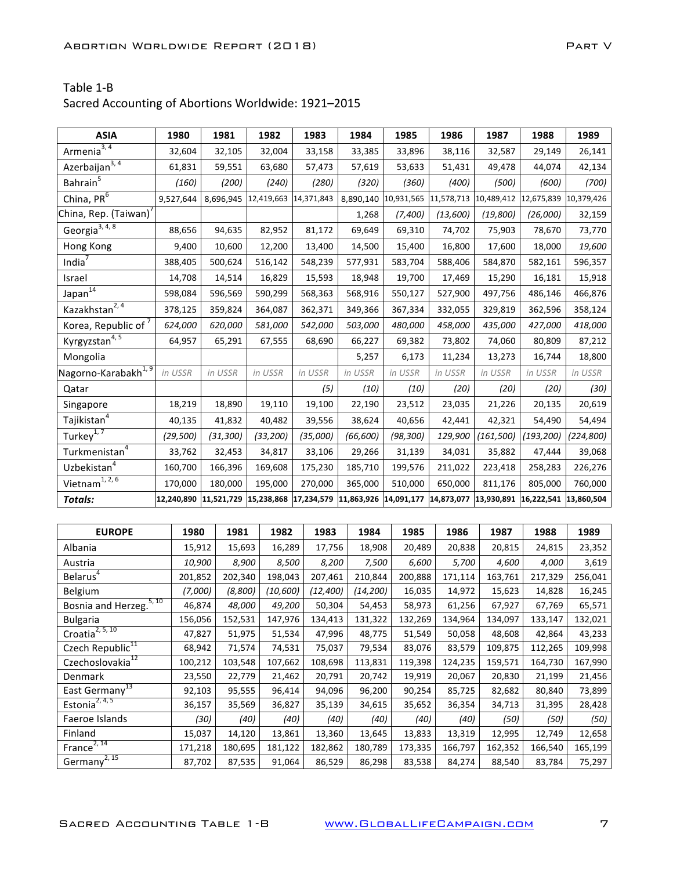| <b>ASIA</b>                                                 | 1980              | 1981              | 1982                                                                         | 1983              | 1984              | 1985              | 1986              | 1987                  | 1988                             | 1989               |
|-------------------------------------------------------------|-------------------|-------------------|------------------------------------------------------------------------------|-------------------|-------------------|-------------------|-------------------|-----------------------|----------------------------------|--------------------|
| Armenia <sup>3, 4</sup>                                     | 32,604            | 32,105            | 32,004                                                                       | 33,158            | 33,385            | 33,896            | 38,116            | 32,587                | 29,149                           | 26,141             |
| Azerbaijan <sup>3, 4</sup>                                  | 61,831            | 59,551            | 63,680                                                                       | 57,473            | 57,619            | 53,633            | 51,431            | 49,478                | 44,074                           | 42,134             |
| Bahrain <sup>5</sup>                                        | (160)             | (200)             | (240)                                                                        | (280)             | (320)             | (360)             | (400)             | (500)                 | (600)                            | (700)              |
| China, $PR^6$                                               | 9,527,644         | 8,696,945         | 12,419,663                                                                   | 14,371,843        | 8,890,140         | 10,931,565        | 11,578,713        | 10,489,412 12,675,839 |                                  | 10,379,426         |
| China, Rep. (Taiwan) <sup>7</sup>                           |                   |                   |                                                                              |                   | 1,268             | (7,400)           | (13,600)          | (19, 800)             | (26,000)                         | 32,159             |
| Georgia <sup>3, 4, 8</sup>                                  | 88,656            | 94,635            | 82,952                                                                       | 81,172            | 69,649            | 69,310            | 74,702            | 75,903                | 78,670                           | 73,770             |
| Hong Kong                                                   | 9,400             | 10,600            | 12,200                                                                       | 13,400            | 14,500            | 15,400            | 16,800            | 17,600                | 18,000                           | 19,600             |
| India <sup>7</sup>                                          | 388,405           | 500,624           | 516,142                                                                      | 548,239           | 577,931           | 583,704           | 588,406           | 584,870               | 582,161                          | 596,357            |
| Israel                                                      | 14,708            | 14,514            | 16,829                                                                       | 15,593            | 18,948            | 19,700            | 17,469            | 15,290                | 16,181                           | 15,918             |
| Japan <sup>14</sup>                                         | 598,084           | 596,569           | 590,299                                                                      | 568,363           | 568,916           | 550,127           | 527,900           | 497,756               | 486,146                          | 466,876            |
| Kazakhstan <sup>2,4</sup>                                   | 378,125           | 359,824           | 364,087                                                                      | 362,371           | 349,366           | 367,334           | 332,055           | 329,819               | 362,596                          | 358,124            |
| Korea, Republic of <sup>7</sup>                             | 624,000           | 620,000           | 581,000                                                                      | 542,000           | 503,000           | 480,000           | 458,000           | 435,000               | 427,000                          | 418,000            |
| Kyrgyzstan <sup>4,5</sup>                                   | 64,957            | 65,291            | 67,555                                                                       | 68,690            | 66,227            | 69,382            | 73,802            | 74,060                | 80,809                           | 87,212             |
| Mongolia                                                    |                   |                   |                                                                              |                   | 5,257             | 6,173             | 11,234            | 13,273                | 16,744                           | 18,800             |
| Nagorno-Karabakh <sup>1, 9</sup>                            | in USSR           | in USSR           | in USSR                                                                      | in USSR           | in USSR           | in USSR           | in USSR           | in USSR               | in USSR                          | in USSR            |
| Qatar                                                       |                   |                   |                                                                              | (5)               | (10)              | (10)              | (20)              | (20)                  | (20)                             | (30)               |
| Singapore                                                   | 18,219            | 18,890            | 19,110                                                                       | 19,100            | 22,190            | 23,512            | 23,035            | 21,226                | 20,135                           | 20,619             |
| Tajikistan <sup>4</sup>                                     | 40,135            | 41,832            | 40,482                                                                       | 39,556            | 38,624            | 40,656            | 42,441            | 42,321                | 54,490                           | 54,494             |
| Turkey <sup>1,7</sup>                                       | (29, 500)         | (31, 300)         | (33, 200)                                                                    | (35,000)          | (66, 600)         | (98, 300)         | 129,900           | (161, 500)            | (193, 200)                       | (224, 800)         |
| Turkmenistan <sup>4</sup>                                   | 33,762            | 32,453            | 34,817                                                                       | 33,106            | 29,266            | 31,139            | 34,031            | 35,882                | 47,444                           | 39,068             |
| Uzbekistan <sup>4</sup>                                     | 160,700           | 166,396           | 169,608                                                                      | 175,230           | 185,710           | 199,576           | 211,022           | 223,418               | 258,283                          | 226,276            |
| Vietnam <sup>1, 2, 6</sup>                                  | 170,000           | 180,000           | 195,000                                                                      | 270,000           | 365,000           | 510,000           | 650,000           | 811,176               | 805,000                          | 760,000            |
| <b>Totals:</b>                                              |                   |                   | 12,240,890 11,521,729 15,238,868 17,234,579 11,863,926 14,091,177 14,873,077 |                   |                   |                   |                   |                       | 13,930,891 16,222,541 13,860,504 |                    |
|                                                             |                   |                   |                                                                              |                   |                   |                   |                   |                       |                                  |                    |
| <b>EUROPE</b>                                               | 1980              | 1981              | 1982                                                                         | 1983              | 1984              | 1985              | 1986              | 1987                  | 1988                             | 1989               |
| Albania                                                     | 15,912            | 15,693            | 16,289                                                                       | 17,756            | 18,908            | 20,489            | 20,838            | 20,815                | 24,815                           | 23,352             |
| Austria                                                     | 10,900            |                   | 8,900<br>8,500                                                               | 8,200             | 7,500             | 6,600             | 5,700             | 4,600                 | 4,000                            | 3,619              |
| Belarus <sup>4</sup>                                        | 201,852           | 202,340           | 198,043                                                                      | 207,461           | 210,844           | 200,888           | 171,114           | 163,761               | 217,329                          | 256,041            |
| Belgium                                                     | (7,000)           | (8,800)           | (10, 600)                                                                    | (12, 400)         | (14, 200)         | 16,035            | 14,972            | 15,623                | 14,828                           | 16,245             |
| Bosnia and Herzeg. <sup>5, 10</sup>                         | 46,874            | 48,000            | 49,200                                                                       | 50,304            | 54,453            | 58,973            | 61,256            | 67,927                | 67,769                           | 65,571             |
| Bulgaria                                                    | 156,056           | 152,531           | 147,976                                                                      | 134,413           | 131,322           | 132,269           | 134,964           | 134,097               | 133,147                          | 132,021            |
| Croatia <sup>2, 5, 10</sup><br>Czech Republic <sup>11</sup> | 47,827            | 51,975            | 51,534                                                                       | 47,996            | 48,775            | 51,549            | 50,058            | 48,608                | 42,864                           | 43,233             |
| Czechoslovakia <sup>12</sup>                                | 68,942<br>100,212 | 71,574<br>103,548 | 74,531<br>107,662                                                            | 75,037<br>108,698 | 79,534<br>113,831 | 83,076<br>119,398 | 83,579<br>124,235 | 109,875<br>159,571    | 112,265<br>164,730               | 109,998<br>167,990 |
| Denmark                                                     | 23,550            | 22,779            | 21,462                                                                       | 20,791            | 20,742            | 19,919            | 20,067            | 20,830                | 21,199                           | 21,456             |
| East Germany <sup>13</sup>                                  | 92,103            | 95,555            | 96,414                                                                       | 94,096            | 96,200            | 90,254            | 85,725            | 82,682                | 80,840                           | 73,899             |
| Estonia <sup>2, 4, 5</sup>                                  | 36,157            | 35,569            | 36,827                                                                       | 35,139            | 34,615            | 35,652            | 36,354            | 34,713                | 31,395                           | 28,428             |
| Faeroe Islands                                              |                   | (30)              | (40)                                                                         | (40)<br>(40)      | (40)              | (40)              | (40)              | (50)                  | (50)                             | (50)               |
| Finland                                                     | 15,037            | 14,120            | 13,861                                                                       | 13,360            | 13,645            | 13,833            | 13,319            | 12,995                | 12,749                           | 12,658             |
| France <sup>2, 14</sup>                                     | 171,218           | 180,695           | 181,122                                                                      | 182,862           | 180,789           | 173,335           | 166,797           | 162,352               | 166,540                          | 165,199            |
| Germany <sup>2, 15</sup>                                    | 87,702            | 87,535            | 91,064                                                                       | 86,529            | 86,298            | 83,538            | 84,274            | 88,540                | 83,784                           | 75,297             |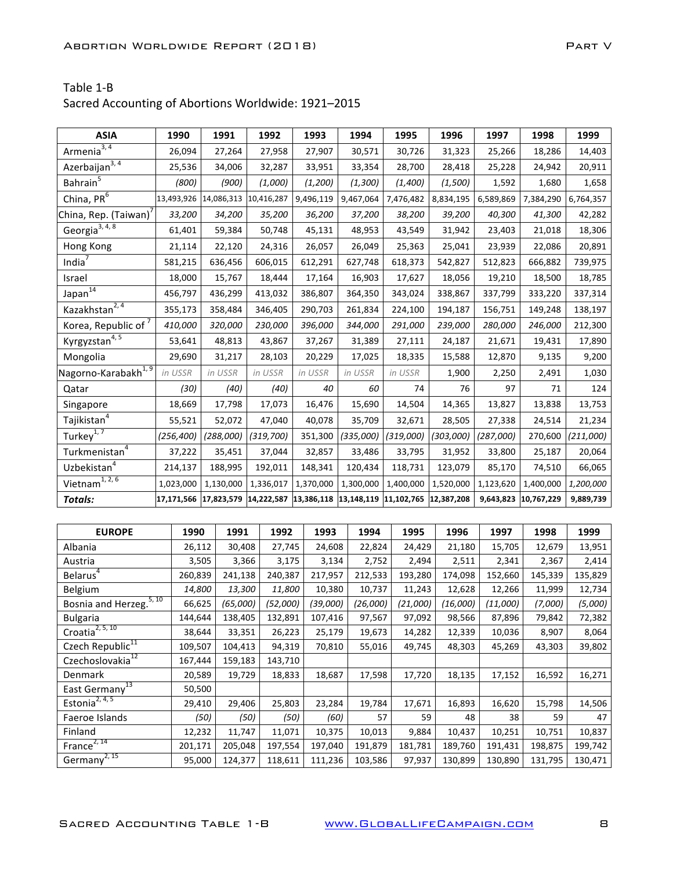| Sacred Accounting of Abortions Worldwide: 1921-2015 |  |
|-----------------------------------------------------|--|
|-----------------------------------------------------|--|

| <b>ASIA</b>                                                  | 1990             | 1991                  | 1992                                                      | 1993      | 1994      | 1995      | 1996      | 1997                 | 1998      | 1999      |
|--------------------------------------------------------------|------------------|-----------------------|-----------------------------------------------------------|-----------|-----------|-----------|-----------|----------------------|-----------|-----------|
| Armenia $3, 4$                                               | 26,094           | 27,264                | 27,958                                                    | 27,907    | 30,571    | 30,726    | 31,323    | 25,266               | 18,286    | 14,403    |
| $A$ zerbaijan <sup>3,4</sup>                                 | 25,536           | 34,006                | 32,287                                                    | 33,951    | 33,354    | 28,700    | 28,418    | 25,228               | 24,942    | 20,911    |
| Bahrain <sup>5</sup>                                         | (800)            | (900)                 | (1,000)                                                   | (1,200)   | (1, 300)  | (1,400)   | (1,500)   | 1,592                | 1,680     | 1,658     |
| China, $PR^6$                                                | 13,493,926       | 14,086,313            | 10,416,287                                                | 9,496,119 | 9,467,064 | 7,476,482 | 8,834,195 | 6,589,869            | 7,384,290 | 6,764,357 |
| China, Rep. (Taiwan) <sup>7</sup>                            | 33,200           | 34,200                | 35,200                                                    | 36,200    | 37,200    | 38,200    | 39,200    | 40,300               | 41,300    | 42,282    |
| Georgia <sup>3, 4, 8</sup>                                   | 61,401           | 59,384                | 50,748                                                    | 45,131    | 48,953    | 43,549    | 31,942    | 23,403               | 21,018    | 18,306    |
| Hong Kong                                                    | 21,114           | 22,120                | 24,316                                                    | 26,057    | 26,049    | 25,363    | 25,041    | 23,939               | 22,086    | 20,891    |
| India $7$                                                    | 581,215          | 636,456               | 606,015                                                   | 612,291   | 627,748   | 618,373   | 542,827   | 512,823              | 666,882   | 739,975   |
| Israel                                                       | 18,000           | 15,767                | 18,444                                                    | 17,164    | 16,903    | 17,627    | 18,056    | 19,210               | 18,500    | 18,785    |
| Japan <sup>14</sup>                                          | 456,797          | 436,299               | 413,032                                                   | 386,807   | 364,350   | 343,024   | 338,867   | 337,799              | 333,220   | 337,314   |
| Kazakhstan <sup>2,4</sup>                                    | 355,173          | 358,484               | 346,405                                                   | 290,703   | 261,834   | 224,100   | 194,187   | 156,751              | 149,248   | 138,197   |
| Korea, Republic of <sup>7</sup>                              | 410,000          | 320,000               | 230,000                                                   | 396,000   | 344,000   | 291,000   | 239,000   | 280,000              | 246,000   | 212,300   |
| Kyrgyzstan <sup>4,5</sup>                                    | 53,641           | 48,813                | 43,867                                                    | 37,267    | 31,389    | 27,111    | 24,187    | 21,671               | 19,431    | 17,890    |
| Mongolia                                                     | 29,690           | 31,217                | 28,103                                                    | 20,229    | 17,025    | 18,335    | 15,588    | 12,870               | 9,135     | 9,200     |
| Nagorno-Karabakh <sup>1, 9</sup>                             | in USSR          | in USSR               | in USSR                                                   | in USSR   | in USSR   | in USSR   | 1,900     | 2,250                | 2,491     | 1,030     |
| Qatar                                                        | (30)             | (40)                  | (40)                                                      | 40        | 60        | 74        | 76        | 97                   | 71        | 124       |
| Singapore                                                    | 18,669           | 17,798                | 17,073                                                    | 16,476    | 15,690    | 14,504    | 14,365    | 13,827               | 13,838    | 13,753    |
| Tajikistan <sup>4</sup>                                      | 55,521           | 52,072                | 47,040                                                    | 40,078    | 35,709    | 32,671    | 28,505    | 27,338               | 24,514    | 21,234    |
| Turkey <sup>1,7</sup>                                        | (256, 400)       | (288,000)             | (319, 700)                                                | 351,300   | (335,000) | (319,000) | (303,000) | (287,000)            | 270,600   | (211,000) |
| Turkmenistan <sup>4</sup>                                    | 37,222           | 35,451                | 37,044                                                    | 32,857    | 33,486    | 33,795    | 31,952    | 33,800               | 25,187    | 20,064    |
| Uzbekistan <sup>4</sup>                                      | 214,137          | 188,995               | 192,011                                                   | 148,341   | 120,434   | 118,731   | 123,079   | 85,170               | 74,510    | 66,065    |
| Vietnam <sup><math>1, 2, 6</math></sup>                      | 1,023,000        | 1,130,000             | 1,336,017                                                 | 1,370,000 | 1,300,000 | 1,400,000 | 1,520,000 | 1,123,620            | 1,400,000 | 1,200,000 |
| <b>Totals:</b>                                               |                  | 17,171,566 17,823,579 | $ 14,222,587 13,386,118 13,148,119 11,102,765 12,387,208$ |           |           |           |           | 9,643,823 10,767,229 |           | 9,889,739 |
|                                                              |                  |                       |                                                           |           |           |           |           |                      |           |           |
| <b>EUROPE</b>                                                | 1990             | 1991                  | 1992                                                      | 1993      | 1994      | 1995      | 1996      | 1997                 | 1998      | 1999      |
| Albania                                                      | 26,112           | 30,408                | 27,745                                                    | 24,608    | 22,824    | 24,429    | 21,180    | 15,705               | 12,679    | 13,951    |
| Austria                                                      |                  | 3,366<br>3,505        | 3,175                                                     | 3,134     | 2,752     | 2,494     | 2,511     | 2,341                | 2,367     | 2,414     |
| Belarus <sup>4</sup>                                         | 260,839          | 241,138               | 240,387                                                   | 217,957   | 212,533   | 193,280   | 174,098   | 152,660              | 145,339   | 135,829   |
| Belgium                                                      | 14,800           | 13,300                | 11,800                                                    | 10,380    | 10,737    | 11,243    | 12,628    | 12,266               | 11,999    | 12,734    |
| Bosnia and Herzeg. <sup>5, 10</sup>                          | 66,625           | (65,000)              | (52,000)                                                  | (39,000)  | (26,000)  | (21,000)  | (16,000)  | (11,000)             | (7,000)   | (5,000)   |
| <b>Bulgaria</b>                                              | 144,644          | 138,405               | 132,891                                                   | 107,416   | 97,567    | 97,092    | 98,566    | 87,896               | 79,842    | 72,382    |
| Croatia <sup>2, 5, 10</sup>                                  | 38,644           | 33,351                | 26,223                                                    | 25,179    | 19,673    | 14,282    | 12,339    | 10,036               | 8,907     | 8,064     |
| Czech Republic <sup>11</sup><br>Czechoslovakia <sup>12</sup> | 109,507          | 104,413               | 94,319                                                    | 70,810    | 55,016    | 49,745    | 48,303    | 45,269               | 43,303    | 39,802    |
|                                                              | 167,444          | 159,183               | 143,710                                                   |           |           |           |           |                      |           |           |
| Denmark<br>East Germany <sup>13</sup>                        | 20,589<br>50,500 | 19,729                | 18,833                                                    | 18,687    | 17,598    | 17,720    | 18,135    | 17,152               | 16,592    | 16,271    |
| Estonia <sup>2, 4, 5</sup>                                   | 29,410           | 29,406                | 25,803                                                    | 23,284    | 19,784    | 17,671    | 16,893    | 16,620               | 15,798    | 14,506    |
| Faeroe Islands                                               |                  | (50)                  | (50)<br>(50)                                              | (60)      | 57        | 59        | 48        | 38                   | 59        | 47        |
| Finland                                                      | 12,232           | 11,747                | 11,071                                                    | 10,375    | 10,013    | 9,884     | 10,437    | 10,251               | 10,751    | 10,837    |
| France <sup>2, 14</sup>                                      | 201,171          | 205,048               | 197,554                                                   | 197,040   | 191,879   | 181,781   | 189,760   | 191,431              | 198,875   | 199,742   |
| Germany <sup>2, 15</sup>                                     | 95,000           | 124,377               | 118,611                                                   | 111,236   | 103,586   | 97,937    | 130,899   | 130,890              | 131,795   | 130,471   |
|                                                              |                  |                       |                                                           |           |           |           |           |                      |           |           |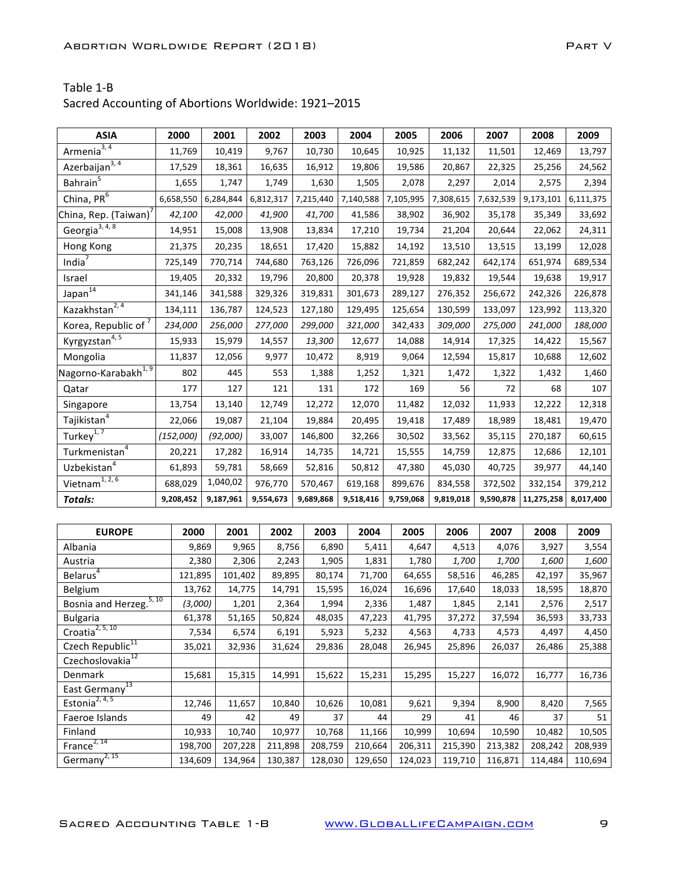| Sacred Accounting of Abortions Worldwide: 1921-2015 |  |
|-----------------------------------------------------|--|
|-----------------------------------------------------|--|

| <b>ASIA</b>                                              |       | 2000      |    | 2001      | 2002      |        | 2003      | 2004      | 2005      | 2006      | 2007      | 2008                   | 2009      |
|----------------------------------------------------------|-------|-----------|----|-----------|-----------|--------|-----------|-----------|-----------|-----------|-----------|------------------------|-----------|
| Armenia $3, 4$                                           |       | 11,769    |    | 10,419    | 9,767     |        | 10,730    | 10,645    | 10,925    | 11,132    | 11,501    | 12,469                 | 13,797    |
| Azerbaijan <sup>3, 4</sup>                               |       | 17,529    |    | 18,361    | 16,635    |        | 16,912    | 19,806    | 19,586    | 20,867    | 22,325    | 25,256                 | 24,562    |
| Bahrain $\overline{5}$                                   |       | 1,655     |    | 1,747     | 1,749     |        | 1,630     | 1,505     | 2,078     | 2,297     | 2,014     | 2,575                  | 2,394     |
| China, PR $\overline{6}$                                 |       | 6,658,550 |    | 6,284,844 | 6,812,317 |        | 7,215,440 | 7,140,588 | 7,105,995 | 7,308,615 | 7,632,539 | 9,173,101              | 6,111,375 |
| China, Rep. (Taiwan) <sup>7</sup>                        |       | 42,100    |    | 42,000    | 41,900    |        | 41,700    | 41,586    | 38,902    | 36,902    | 35,178    | 35,349                 | 33,692    |
| Georgia <sup>3, 4, 8</sup>                               |       | 14,951    |    | 15,008    | 13,908    |        | 13,834    | 17,210    | 19,734    | 21,204    | 20,644    | 22,062                 | 24,311    |
| Hong Kong                                                |       | 21,375    |    | 20,235    | 18,651    |        | 17,420    | 15,882    | 14,192    | 13,510    | 13,515    | 13,199                 | 12,028    |
| India $7$                                                |       | 725,149   |    | 770,714   | 744,680   |        | 763,126   | 726,096   | 721,859   | 682,242   | 642,174   | 651,974                | 689,534   |
| Israel                                                   |       | 19,405    |    | 20,332    | 19,796    |        | 20,800    | 20,378    | 19,928    | 19,832    | 19,544    | 19,638                 | 19,917    |
| Japan <sup>14</sup>                                      |       | 341,146   |    | 341,588   | 329,326   |        | 319,831   | 301,673   | 289,127   | 276,352   | 256,672   | 242,326                | 226,878   |
| Kazakhstan <sup>2, 4</sup>                               |       | 134,111   |    | 136,787   | 124,523   |        | 127,180   | 129,495   | 125,654   | 130,599   | 133,097   | 123,992                | 113,320   |
| Korea, Republic of <sup>7</sup>                          |       | 234,000   |    | 256,000   | 277,000   |        | 299,000   | 321,000   | 342,433   | 309,000   | 275,000   | 241,000                | 188,000   |
| Kyrgyzstan <sup>4, 5</sup>                               |       | 15,933    |    | 15,979    | 14,557    |        | 13,300    | 12,677    | 14,088    | 14,914    | 17,325    | 14,422                 | 15,567    |
| Mongolia                                                 |       | 11,837    |    | 12,056    | 9,977     |        | 10,472    | 8,919     | 9,064     | 12,594    | 15,817    | 10,688                 | 12,602    |
| Nagorno-Karabakh <sup>1, 9</sup>                         |       | 802       |    | 445       | 553       |        | 1,388     | 1,252     | 1,321     | 1,472     | 1,322     | 1,432                  | 1,460     |
| Qatar                                                    |       | 177       |    | 127       | 121       |        | 131       | 172       | 169       | 56        | 72        | 68                     | 107       |
| Singapore                                                |       | 13,754    |    | 13,140    | 12,749    |        | 12,272    | 12,070    | 11,482    | 12,032    | 11,933    | 12,222                 | 12,318    |
| Tajikistan <sup>4</sup>                                  |       | 22,066    |    | 19,087    | 21,104    |        | 19,884    | 20,495    | 19,418    | 17,489    | 18,989    | 18,481                 | 19,470    |
| Turkey <sup>1,7</sup>                                    |       | (152,000) |    | (92,000)  | 33,007    |        | 146,800   | 32,266    | 30,502    | 33,562    | 35,115    | 270,187                | 60,615    |
| Turkmenistan <sup>4</sup>                                |       | 20,221    |    | 17,282    | 16,914    |        | 14,735    | 14,721    | 15,555    | 14,759    | 12,875    | 12,686                 | 12,101    |
| Uzbekistan $4$                                           |       | 61,893    |    | 59,781    | 58,669    |        | 52,816    | 50,812    | 47,380    | 45,030    | 40,725    | 39,977                 | 44,140    |
| Vietnam <sup>1, 2, 6</sup>                               |       | 688,029   |    | 1,040,02  | 976,770   |        | 570,467   | 619,168   | 899,676   | 834,558   | 372,502   | 332,154                | 379,212   |
| <b>Totals:</b>                                           |       | 9,208,452 |    | 9,187,961 | 9,554,673 |        | 9,689,868 | 9,518,416 | 9,759,068 | 9,819,018 |           | 9,590,878   11,275,258 | 8,017,400 |
|                                                          |       |           |    |           |           |        |           |           |           |           |           |                        |           |
| <b>EUROPE</b>                                            |       | 2000      |    | 2001      | 2002      |        | 2003      | 2004      | 2005      | 2006      | 2007      | 2008                   | 2009      |
| Albania                                                  |       | 9,869     |    | 9,965     |           | 8,756  | 6,890     | 5,411     | 4,647     | 4,513     | 4,076     | 3,927                  | 3,554     |
| Austria                                                  |       | 2,380     |    | 2,306     |           | 2,243  | 1,905     | 1,831     | 1,780     | 1,700     | 1,700     | 1,600                  | 1,600     |
| Belarus <sup>4</sup>                                     |       | 121,895   |    | 101,402   |           | 89,895 | 80,174    | 71,700    | 64,655    | 58,516    | 46,285    | 42,197                 | 35,967    |
| Belgium                                                  |       | 13,762    |    | 14,775    |           | 14,791 | 15,595    | 16,024    | 16,696    | 17,640    | 18,033    | 18,595                 | 18,870    |
| Bosnia and Herzeg.                                       | 5, 10 | (3,000)   |    | 1,201     |           | 2,364  | 1,994     | 2,336     | 1,487     | 1,845     | 2,141     | 2,576                  | 2,517     |
| <b>Bulgaria</b>                                          |       | 61,378    |    | 51,165    |           | 50,824 | 48,035    | 47,223    | 41,795    | 37,272    | 37,594    | 36,593                 | 33,733    |
| Croatia <sup>2, 5, 10</sup>                              |       | 7,534     |    | 6,574     |           | 6,191  | 5,923     | 5,232     | 4,563     | 4,733     | 4,573     | 4,497                  | 4,450     |
| Czech Republic <sup>11</sup>                             |       | 35,021    |    | 32,936    |           | 31,624 | 29,836    | 28,048    | 26,945    | 25,896    | 26,037    | 26,486                 | 25,388    |
| Czechoslovakia <sup>12</sup>                             |       |           |    |           |           |        |           |           |           |           |           |                        |           |
| Denmark                                                  |       | 15,681    |    | 15,315    |           | 14,991 | 15,622    | 15,231    | 15,295    | 15,227    | 16,072    | 16,777                 | 16,736    |
| East Germany <sup>13</sup><br>Estonia <sup>2, 4, 5</sup> |       |           |    |           |           |        |           |           |           |           |           |                        |           |
|                                                          |       | 12,746    |    | 11,657    |           | 10,840 | 10,626    | 10,081    | 9,621     | 9,394     | 8,900     | 8,420                  | 7,565     |
| Faeroe Islands                                           |       |           | 49 |           | 42        | 49     |           | 37        | 44<br>29  | 41        | 46        | 37                     | 51        |
| Finland<br>France <sup>2, 14</sup>                       |       | 10,933    |    | 10,740    |           | 10,977 | 10,768    | 11,166    | 10,999    | 10,694    | 10,590    | 10,482                 | 10,505    |
|                                                          |       | 198,700   |    | 207,228   | 211,898   |        | 208,759   | 210,664   | 206,311   | 215,390   | 213,382   | 208,242                | 208,939   |
| Germany <sup>2, 15</sup>                                 |       | 134,609   |    | 134,964   | 130,387   |        | 128,030   | 129,650   | 124,023   | 119,710   | 116,871   | 114,484                | 110,694   |